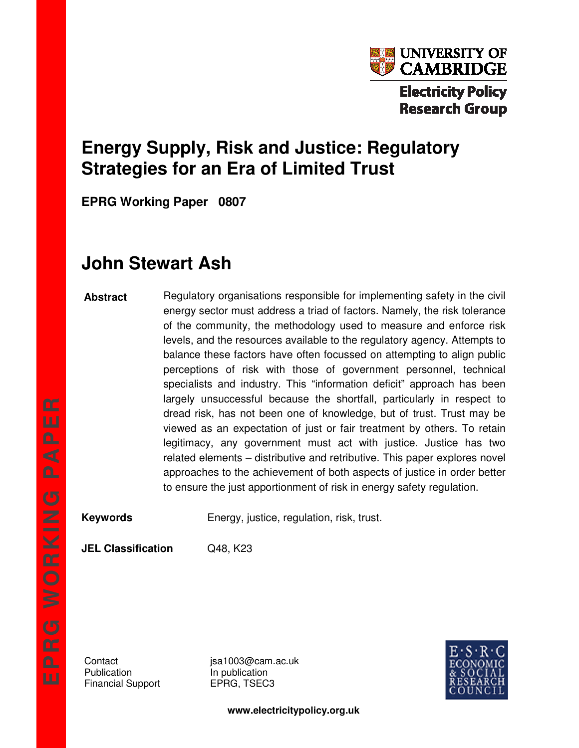

# **Energy Supply, Risk and Justice: Regulatory Strategies for an Era of Limited Trust**

**EPRG Working Paper 0807** 

# **John Stewart Ash**

#### **Abstract**

Regulatory organisations responsible for implementing safety in the civil energy sector must address a triad of factors. Namely, the risk tolerance of the community, the methodology used to measure and enforce risk levels, and the resources available to the regulatory agency. Attempts to balance these factors have often focussed on attempting to align public perceptions of risk with those of government personnel, technical specialists and industry. This "information deficit" approach has been largely unsuccessful because the shortfall, particularly in respect to dread risk, has not been one of knowledge, but of trust. Trust may be viewed as an expectation of just or fair treatment by others. To retain legitimacy, any government must act with justice. Justice has two related elements – distributive and retributive. This paper explores novel approaches to the achievement of both aspects of justice in order better to ensure the just apportionment of risk in energy safety regulation.

**Keywords** Energy, justice, regulation, risk, trust.

**JEL Classification** Q48, K23

Publication **In publication** Financial Support **EPRG, TSEC3** 

Contact isa1003@cam.ac.uk



**www.electricitypolicy.org.uk**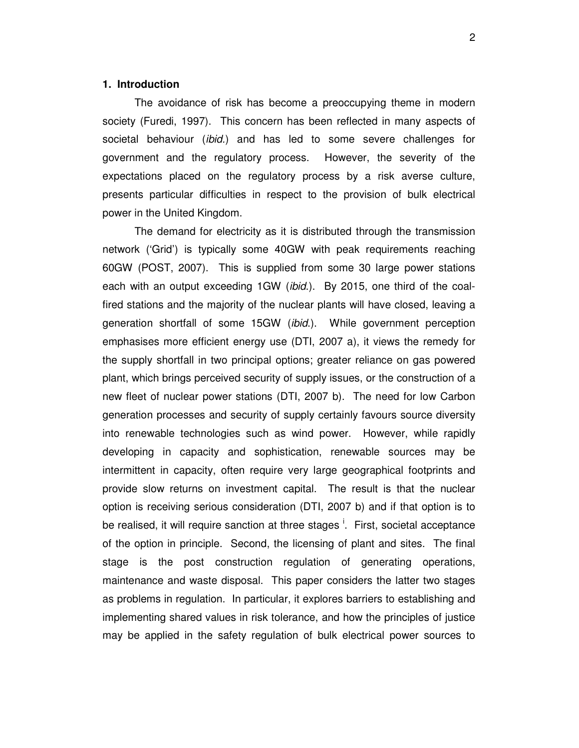#### **1. Introduction**

The avoidance of risk has become a preoccupying theme in modern society (Furedi, 1997). This concern has been reflected in many aspects of societal behaviour (ibid.) and has led to some severe challenges for government and the regulatory process. However, the severity of the expectations placed on the regulatory process by a risk averse culture, presents particular difficulties in respect to the provision of bulk electrical power in the United Kingdom.

The demand for electricity as it is distributed through the transmission network ('Grid') is typically some 40GW with peak requirements reaching 60GW (POST, 2007). This is supplied from some 30 large power stations each with an output exceeding 1GW (*ibid.*). By 2015, one third of the coalfired stations and the majority of the nuclear plants will have closed, leaving a generation shortfall of some 15GW (*ibid*.). While government perception emphasises more efficient energy use (DTI, 2007 a), it views the remedy for the supply shortfall in two principal options; greater reliance on gas powered plant, which brings perceived security of supply issues, or the construction of a new fleet of nuclear power stations (DTI, 2007 b). The need for low Carbon generation processes and security of supply certainly favours source diversity into renewable technologies such as wind power. However, while rapidly developing in capacity and sophistication, renewable sources may be intermittent in capacity, often require very large geographical footprints and provide slow returns on investment capital. The result is that the nuclear option is receiving serious consideration (DTI, 2007 b) and if that option is to be realised, it will require sanction at three stages <sup>i</sup>. First, societal acceptance of the option in principle. Second, the licensing of plant and sites. The final stage is the post construction regulation of generating operations, maintenance and waste disposal. This paper considers the latter two stages as problems in regulation. In particular, it explores barriers to establishing and implementing shared values in risk tolerance, and how the principles of justice may be applied in the safety regulation of bulk electrical power sources to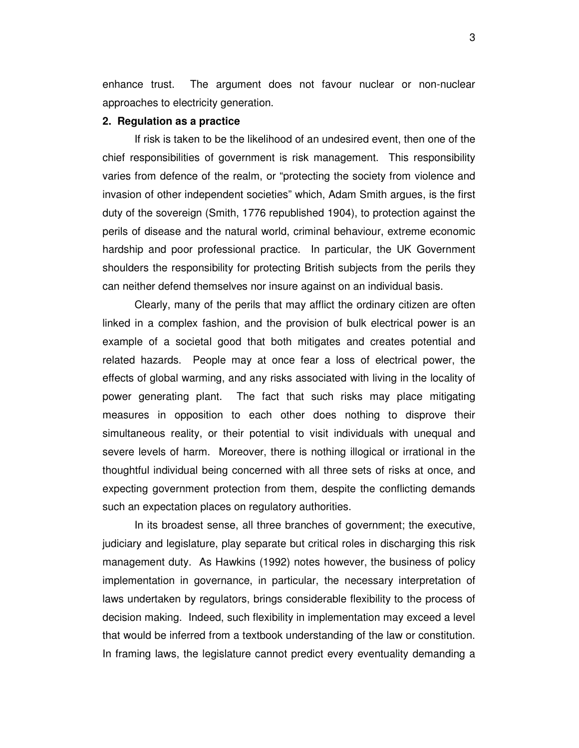enhance trust. The argument does not favour nuclear or non-nuclear approaches to electricity generation.

#### **2. Regulation as a practice**

If risk is taken to be the likelihood of an undesired event, then one of the chief responsibilities of government is risk management. This responsibility varies from defence of the realm, or "protecting the society from violence and invasion of other independent societies" which, Adam Smith argues, is the first duty of the sovereign (Smith, 1776 republished 1904), to protection against the perils of disease and the natural world, criminal behaviour, extreme economic hardship and poor professional practice. In particular, the UK Government shoulders the responsibility for protecting British subjects from the perils they can neither defend themselves nor insure against on an individual basis.

Clearly, many of the perils that may afflict the ordinary citizen are often linked in a complex fashion, and the provision of bulk electrical power is an example of a societal good that both mitigates and creates potential and related hazards. People may at once fear a loss of electrical power, the effects of global warming, and any risks associated with living in the locality of power generating plant. The fact that such risks may place mitigating measures in opposition to each other does nothing to disprove their simultaneous reality, or their potential to visit individuals with unequal and severe levels of harm. Moreover, there is nothing illogical or irrational in the thoughtful individual being concerned with all three sets of risks at once, and expecting government protection from them, despite the conflicting demands such an expectation places on regulatory authorities.

In its broadest sense, all three branches of government; the executive, judiciary and legislature, play separate but critical roles in discharging this risk management duty. As Hawkins (1992) notes however, the business of policy implementation in governance, in particular, the necessary interpretation of laws undertaken by regulators, brings considerable flexibility to the process of decision making. Indeed, such flexibility in implementation may exceed a level that would be inferred from a textbook understanding of the law or constitution. In framing laws, the legislature cannot predict every eventuality demanding a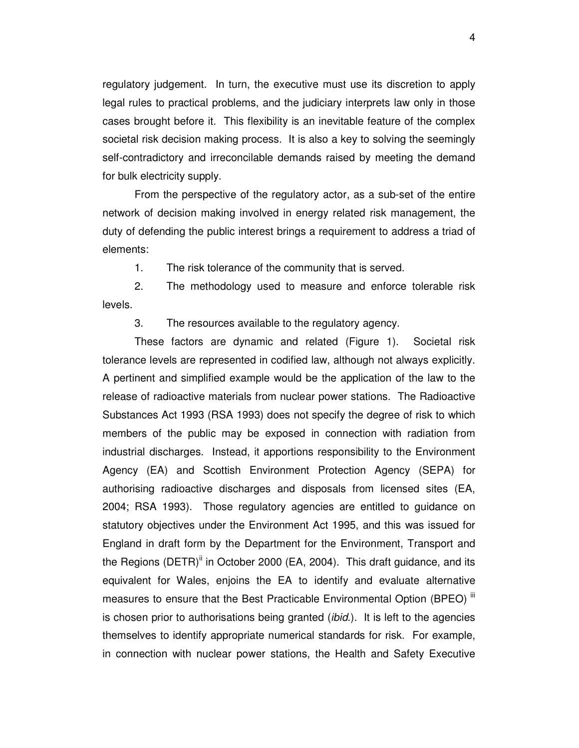regulatory judgement. In turn, the executive must use its discretion to apply legal rules to practical problems, and the judiciary interprets law only in those cases brought before it. This flexibility is an inevitable feature of the complex societal risk decision making process. It is also a key to solving the seemingly self-contradictory and irreconcilable demands raised by meeting the demand for bulk electricity supply.

From the perspective of the regulatory actor, as a sub-set of the entire network of decision making involved in energy related risk management, the duty of defending the public interest brings a requirement to address a triad of elements:

1. The risk tolerance of the community that is served.

2. The methodology used to measure and enforce tolerable risk levels.

3. The resources available to the regulatory agency.

These factors are dynamic and related (Figure 1). Societal risk tolerance levels are represented in codified law, although not always explicitly. A pertinent and simplified example would be the application of the law to the release of radioactive materials from nuclear power stations. The Radioactive Substances Act 1993 (RSA 1993) does not specify the degree of risk to which members of the public may be exposed in connection with radiation from industrial discharges. Instead, it apportions responsibility to the Environment Agency (EA) and Scottish Environment Protection Agency (SEPA) for authorising radioactive discharges and disposals from licensed sites (EA, 2004; RSA 1993). Those regulatory agencies are entitled to guidance on statutory objectives under the Environment Act 1995, and this was issued for England in draft form by the Department for the Environment, Transport and the Regions (DETR)<sup>ii</sup> in October 2000 (EA, 2004). This draft guidance, and its equivalent for Wales, enjoins the EA to identify and evaluate alternative measures to ensure that the Best Practicable Environmental Option (BPEO) " is chosen prior to authorisations being granted *(ibid.)*. It is left to the agencies themselves to identify appropriate numerical standards for risk. For example, in connection with nuclear power stations, the Health and Safety Executive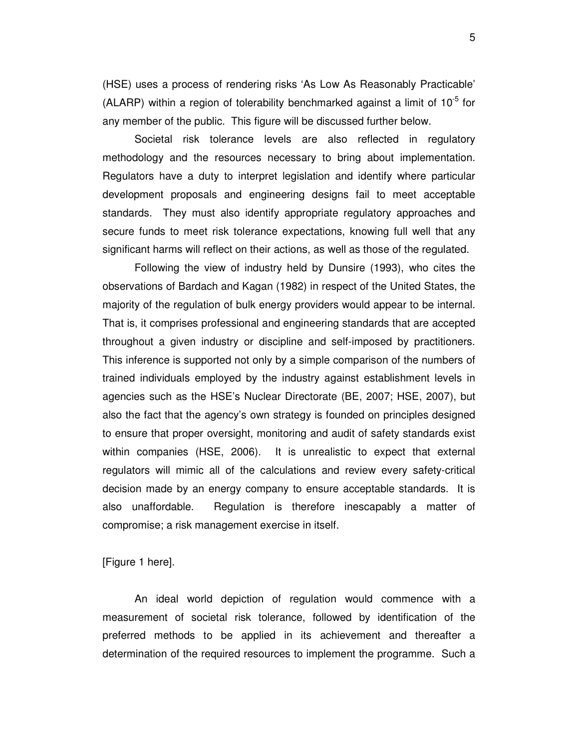(HSE) uses a process of rendering risks 'As Low As Reasonably Practicable' (ALARP) within a region of tolerability benchmarked against a limit of  $10^{-5}$  for any member of the public. This figure will be discussed further below.

Societal risk tolerance levels are also reflected in regulatory methodology and the resources necessary to bring about implementation. Regulators have a duty to interpret legislation and identify where particular development proposals and engineering designs fail to meet acceptable standards. They must also identify appropriate regulatory approaches and secure funds to meet risk tolerance expectations, knowing full well that any significant harms will reflect on their actions, as well as those of the regulated.

Following the view of industry held by Dunsire (1993), who cites the observations of Bardach and Kagan (1982) in respect of the United States, the majority of the regulation of bulk energy providers would appear to be internal. That is, it comprises professional and engineering standards that are accepted throughout a given industry or discipline and self-imposed by practitioners. This inference is supported not only by a simple comparison of the numbers of trained individuals employed by the industry against establishment levels in agencies such as the HSE's Nuclear Directorate (BE, 2007; HSE, 2007), but also the fact that the agency's own strategy is founded on principles designed to ensure that proper oversight, monitoring and audit of safety standards exist within companies (HSE, 2006). It is unrealistic to expect that external regulators will mimic all of the calculations and review every safety-critical decision made by an energy company to ensure acceptable standards. It is also unaffordable. Regulation is therefore inescapably a matter of compromise; a risk management exercise in itself.

[Figure 1 here].

An ideal world depiction of regulation would commence with a measurement of societal risk tolerance, followed by identification of the preferred methods to be applied in its achievement and thereafter a determination of the required resources to implement the programme. Such a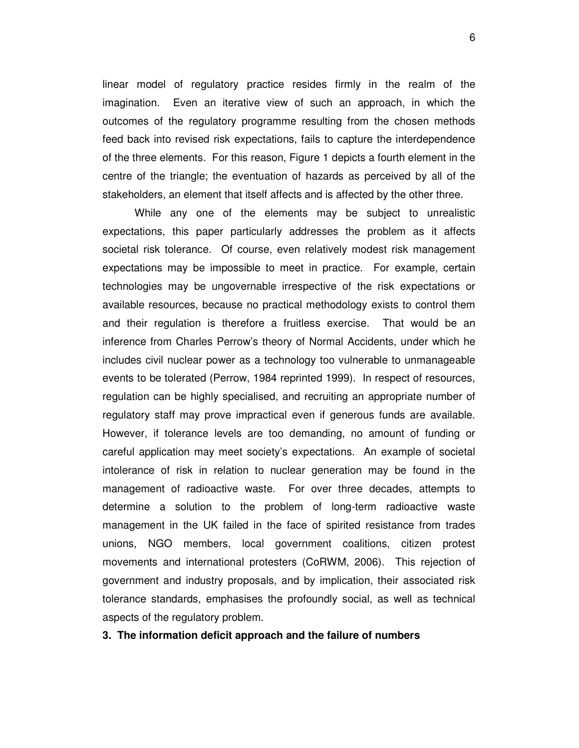linear model of regulatory practice resides firmly in the realm of the imagination. Even an iterative view of such an approach, in which the outcomes of the regulatory programme resulting from the chosen methods feed back into revised risk expectations, fails to capture the interdependence of the three elements. For this reason, Figure 1 depicts a fourth element in the centre of the triangle; the eventuation of hazards as perceived by all of the stakeholders, an element that itself affects and is affected by the other three.

While any one of the elements may be subject to unrealistic expectations, this paper particularly addresses the problem as it affects societal risk tolerance. Of course, even relatively modest risk management expectations may be impossible to meet in practice. For example, certain technologies may be ungovernable irrespective of the risk expectations or available resources, because no practical methodology exists to control them and their regulation is therefore a fruitless exercise. That would be an inference from Charles Perrow's theory of Normal Accidents, under which he includes civil nuclear power as a technology too vulnerable to unmanageable events to be tolerated (Perrow, 1984 reprinted 1999). In respect of resources, regulation can be highly specialised, and recruiting an appropriate number of regulatory staff may prove impractical even if generous funds are available. However, if tolerance levels are too demanding, no amount of funding or careful application may meet society's expectations. An example of societal intolerance of risk in relation to nuclear generation may be found in the management of radioactive waste. For over three decades, attempts to determine a solution to the problem of long-term radioactive waste management in the UK failed in the face of spirited resistance from trades unions, NGO members, local government coalitions, citizen protest movements and international protesters (CoRWM, 2006). This rejection of government and industry proposals, and by implication, their associated risk tolerance standards, emphasises the profoundly social, as well as technical aspects of the regulatory problem.

#### **3. The information deficit approach and the failure of numbers**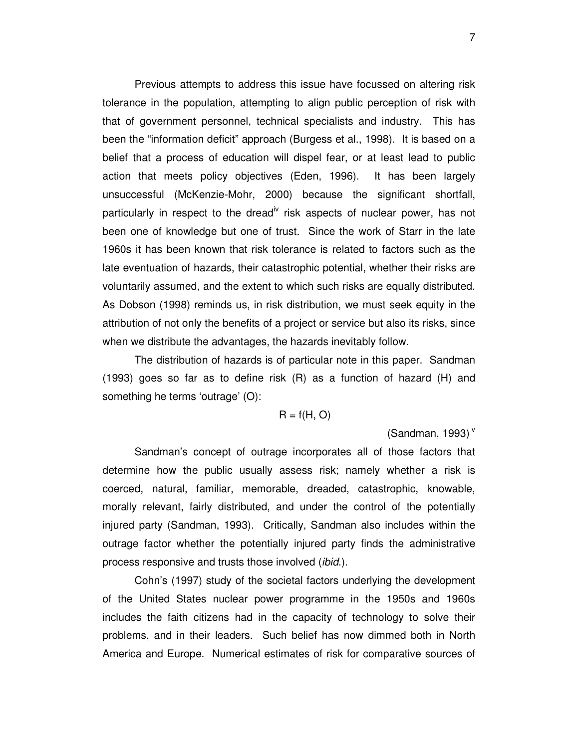Previous attempts to address this issue have focussed on altering risk tolerance in the population, attempting to align public perception of risk with that of government personnel, technical specialists and industry. This has been the "information deficit" approach (Burgess et al., 1998). It is based on a belief that a process of education will dispel fear, or at least lead to public action that meets policy objectives (Eden, 1996). It has been largely unsuccessful (McKenzie-Mohr, 2000) because the significant shortfall, particularly in respect to the dread<sup>iv</sup> risk aspects of nuclear power, has not been one of knowledge but one of trust. Since the work of Starr in the late 1960s it has been known that risk tolerance is related to factors such as the late eventuation of hazards, their catastrophic potential, whether their risks are voluntarily assumed, and the extent to which such risks are equally distributed. As Dobson (1998) reminds us, in risk distribution, we must seek equity in the attribution of not only the benefits of a project or service but also its risks, since when we distribute the advantages, the hazards inevitably follow.

The distribution of hazards is of particular note in this paper. Sandman (1993) goes so far as to define risk (R) as a function of hazard (H) and something he terms 'outrage' (O):

$$
R = f(H, O)
$$

(Sandman, 1993) $<sup>v</sup>$ </sup>

Sandman's concept of outrage incorporates all of those factors that determine how the public usually assess risk; namely whether a risk is coerced, natural, familiar, memorable, dreaded, catastrophic, knowable, morally relevant, fairly distributed, and under the control of the potentially injured party (Sandman, 1993). Critically, Sandman also includes within the outrage factor whether the potentially injured party finds the administrative process responsive and trusts those involved *(ibid.)*.

Cohn's (1997) study of the societal factors underlying the development of the United States nuclear power programme in the 1950s and 1960s includes the faith citizens had in the capacity of technology to solve their problems, and in their leaders. Such belief has now dimmed both in North America and Europe. Numerical estimates of risk for comparative sources of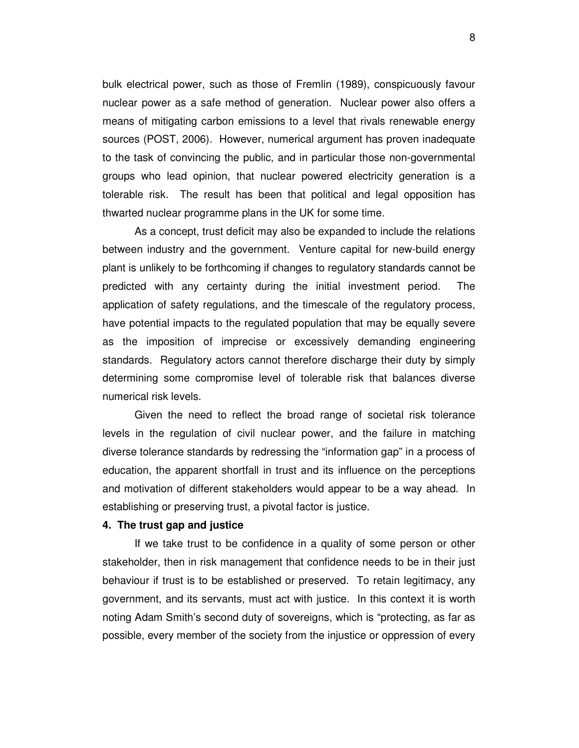bulk electrical power, such as those of Fremlin (1989), conspicuously favour nuclear power as a safe method of generation. Nuclear power also offers a means of mitigating carbon emissions to a level that rivals renewable energy sources (POST, 2006). However, numerical argument has proven inadequate to the task of convincing the public, and in particular those non-governmental groups who lead opinion, that nuclear powered electricity generation is a tolerable risk. The result has been that political and legal opposition has thwarted nuclear programme plans in the UK for some time.

As a concept, trust deficit may also be expanded to include the relations between industry and the government. Venture capital for new-build energy plant is unlikely to be forthcoming if changes to regulatory standards cannot be predicted with any certainty during the initial investment period. The application of safety regulations, and the timescale of the regulatory process, have potential impacts to the regulated population that may be equally severe as the imposition of imprecise or excessively demanding engineering standards. Regulatory actors cannot therefore discharge their duty by simply determining some compromise level of tolerable risk that balances diverse numerical risk levels.

Given the need to reflect the broad range of societal risk tolerance levels in the regulation of civil nuclear power, and the failure in matching diverse tolerance standards by redressing the "information gap" in a process of education, the apparent shortfall in trust and its influence on the perceptions and motivation of different stakeholders would appear to be a way ahead. In establishing or preserving trust, a pivotal factor is justice.

#### **4. The trust gap and justice**

If we take trust to be confidence in a quality of some person or other stakeholder, then in risk management that confidence needs to be in their just behaviour if trust is to be established or preserved. To retain legitimacy, any government, and its servants, must act with justice. In this context it is worth noting Adam Smith's second duty of sovereigns, which is "protecting, as far as possible, every member of the society from the injustice or oppression of every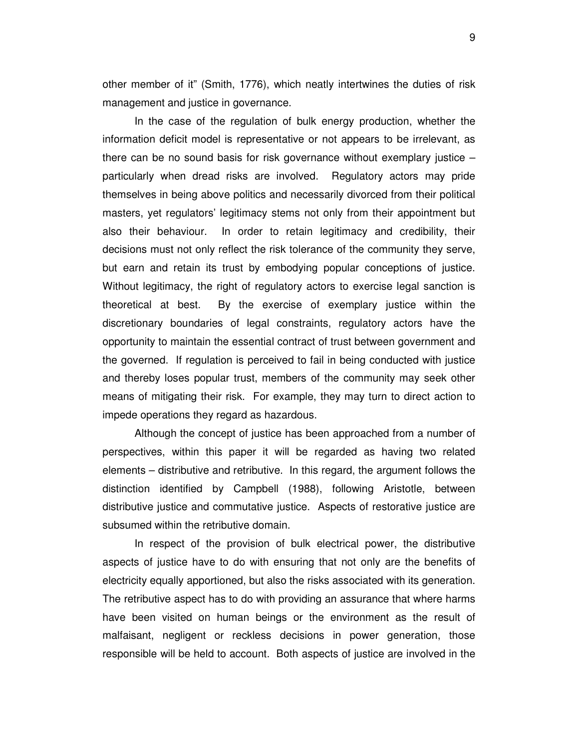other member of it" (Smith, 1776), which neatly intertwines the duties of risk management and justice in governance.

In the case of the regulation of bulk energy production, whether the information deficit model is representative or not appears to be irrelevant, as there can be no sound basis for risk governance without exemplary justice – particularly when dread risks are involved. Regulatory actors may pride themselves in being above politics and necessarily divorced from their political masters, yet regulators' legitimacy stems not only from their appointment but also their behaviour. In order to retain legitimacy and credibility, their decisions must not only reflect the risk tolerance of the community they serve, but earn and retain its trust by embodying popular conceptions of justice. Without legitimacy, the right of regulatory actors to exercise legal sanction is theoretical at best. By the exercise of exemplary justice within the discretionary boundaries of legal constraints, regulatory actors have the opportunity to maintain the essential contract of trust between government and the governed. If regulation is perceived to fail in being conducted with justice and thereby loses popular trust, members of the community may seek other means of mitigating their risk. For example, they may turn to direct action to impede operations they regard as hazardous.

Although the concept of justice has been approached from a number of perspectives, within this paper it will be regarded as having two related elements – distributive and retributive. In this regard, the argument follows the distinction identified by Campbell (1988), following Aristotle, between distributive justice and commutative justice. Aspects of restorative justice are subsumed within the retributive domain.

In respect of the provision of bulk electrical power, the distributive aspects of justice have to do with ensuring that not only are the benefits of electricity equally apportioned, but also the risks associated with its generation. The retributive aspect has to do with providing an assurance that where harms have been visited on human beings or the environment as the result of malfaisant, negligent or reckless decisions in power generation, those responsible will be held to account. Both aspects of justice are involved in the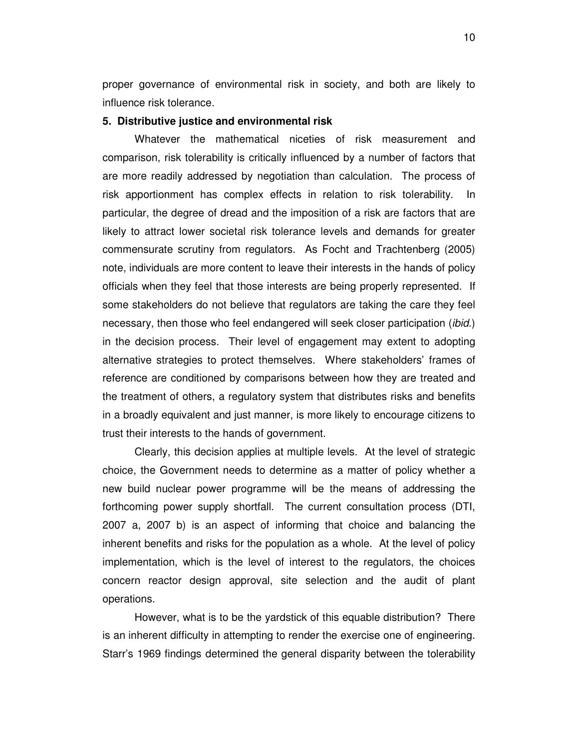proper governance of environmental risk in society, and both are likely to influence risk tolerance.

#### **5. Distributive justice and environmental risk**

Whatever the mathematical niceties of risk measurement and comparison, risk tolerability is critically influenced by a number of factors that are more readily addressed by negotiation than calculation. The process of risk apportionment has complex effects in relation to risk tolerability. In particular, the degree of dread and the imposition of a risk are factors that are likely to attract lower societal risk tolerance levels and demands for greater commensurate scrutiny from regulators. As Focht and Trachtenberg (2005) note, individuals are more content to leave their interests in the hands of policy officials when they feel that those interests are being properly represented. If some stakeholders do not believe that regulators are taking the care they feel necessary, then those who feel endangered will seek closer participation (*ibid.*) in the decision process. Their level of engagement may extent to adopting alternative strategies to protect themselves. Where stakeholders' frames of reference are conditioned by comparisons between how they are treated and the treatment of others, a regulatory system that distributes risks and benefits in a broadly equivalent and just manner, is more likely to encourage citizens to trust their interests to the hands of government.

Clearly, this decision applies at multiple levels. At the level of strategic choice, the Government needs to determine as a matter of policy whether a new build nuclear power programme will be the means of addressing the forthcoming power supply shortfall. The current consultation process (DTI, 2007 a, 2007 b) is an aspect of informing that choice and balancing the inherent benefits and risks for the population as a whole. At the level of policy implementation, which is the level of interest to the regulators, the choices concern reactor design approval, site selection and the audit of plant operations.

However, what is to be the yardstick of this equable distribution? There is an inherent difficulty in attempting to render the exercise one of engineering. Starr's 1969 findings determined the general disparity between the tolerability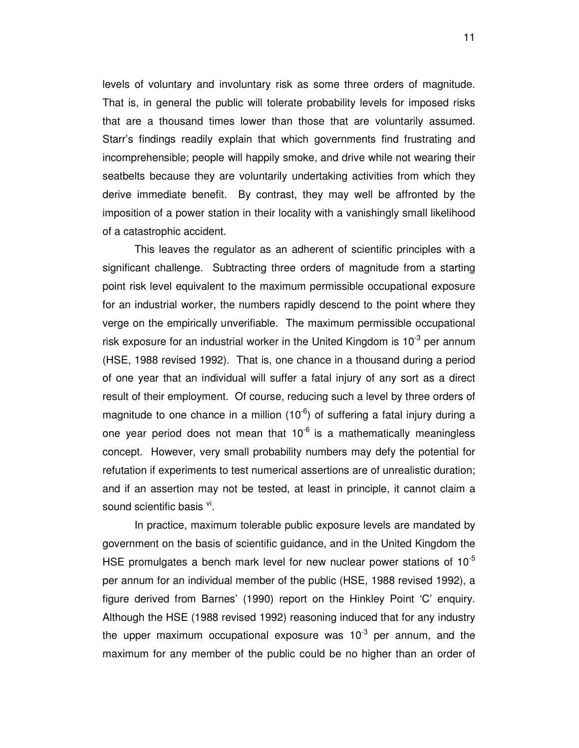levels of voluntary and involuntary risk as some three orders of magnitude. That is, in general the public will tolerate probability levels for imposed risks that are a thousand times lower than those that are voluntarily assumed. Starr's findings readily explain that which governments find frustrating and incomprehensible; people will happily smoke, and drive while not wearing their seatbelts because they are voluntarily undertaking activities from which they derive immediate benefit. By contrast, they may well be affronted by the imposition of a power station in their locality with a vanishingly small likelihood of a catastrophic accident.

This leaves the regulator as an adherent of scientific principles with a significant challenge. Subtracting three orders of magnitude from a starting point risk level equivalent to the maximum permissible occupational exposure for an industrial worker, the numbers rapidly descend to the point where they verge on the empirically unverifiable. The maximum permissible occupational risk exposure for an industrial worker in the United Kingdom is  $10^{-3}$  per annum (HSE, 1988 revised 1992). That is, one chance in a thousand during a period of one year that an individual will suffer a fatal injury of any sort as a direct result of their employment. Of course, reducing such a level by three orders of magnitude to one chance in a million  $(10^{-6})$  of suffering a fatal injury during a one year period does not mean that  $10^{-6}$  is a mathematically meaningless concept. However, very small probability numbers may defy the potential for refutation if experiments to test numerical assertions are of unrealistic duration; and if an assertion may not be tested, at least in principle, it cannot claim a sound scientific basis <sup>vi</sup>.

In practice, maximum tolerable public exposure levels are mandated by government on the basis of scientific guidance, and in the United Kingdom the HSE promulgates a bench mark level for new nuclear power stations of  $10^{-5}$ per annum for an individual member of the public (HSE, 1988 revised 1992), a figure derived from Barnes' (1990) report on the Hinkley Point 'C' enquiry. Although the HSE (1988 revised 1992) reasoning induced that for any industry the upper maximum occupational exposure was  $10^{-3}$  per annum, and the maximum for any member of the public could be no higher than an order of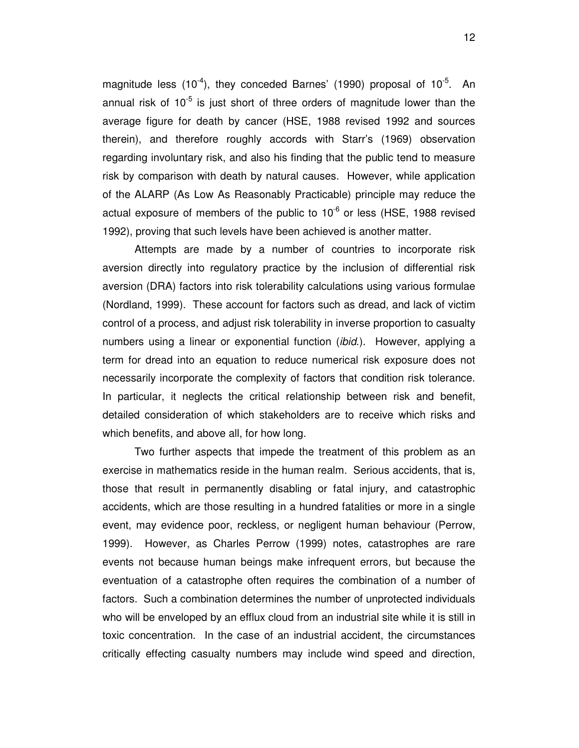magnitude less  $(10^{-4})$ , they conceded Barnes' (1990) proposal of  $10^{-5}$ . An annual risk of  $10^{-5}$  is just short of three orders of magnitude lower than the average figure for death by cancer (HSE, 1988 revised 1992 and sources therein), and therefore roughly accords with Starr's (1969) observation regarding involuntary risk, and also his finding that the public tend to measure risk by comparison with death by natural causes. However, while application of the ALARP (As Low As Reasonably Practicable) principle may reduce the actual exposure of members of the public to  $10^{-6}$  or less (HSE, 1988 revised 1992), proving that such levels have been achieved is another matter.

Attempts are made by a number of countries to incorporate risk aversion directly into regulatory practice by the inclusion of differential risk aversion (DRA) factors into risk tolerability calculations using various formulae (Nordland, 1999). These account for factors such as dread, and lack of victim control of a process, and adjust risk tolerability in inverse proportion to casualty numbers using a linear or exponential function *(ibid.)*. However, applying a term for dread into an equation to reduce numerical risk exposure does not necessarily incorporate the complexity of factors that condition risk tolerance. In particular, it neglects the critical relationship between risk and benefit, detailed consideration of which stakeholders are to receive which risks and which benefits, and above all, for how long.

Two further aspects that impede the treatment of this problem as an exercise in mathematics reside in the human realm. Serious accidents, that is, those that result in permanently disabling or fatal injury, and catastrophic accidents, which are those resulting in a hundred fatalities or more in a single event, may evidence poor, reckless, or negligent human behaviour (Perrow, 1999). However, as Charles Perrow (1999) notes, catastrophes are rare events not because human beings make infrequent errors, but because the eventuation of a catastrophe often requires the combination of a number of factors. Such a combination determines the number of unprotected individuals who will be enveloped by an efflux cloud from an industrial site while it is still in toxic concentration. In the case of an industrial accident, the circumstances critically effecting casualty numbers may include wind speed and direction,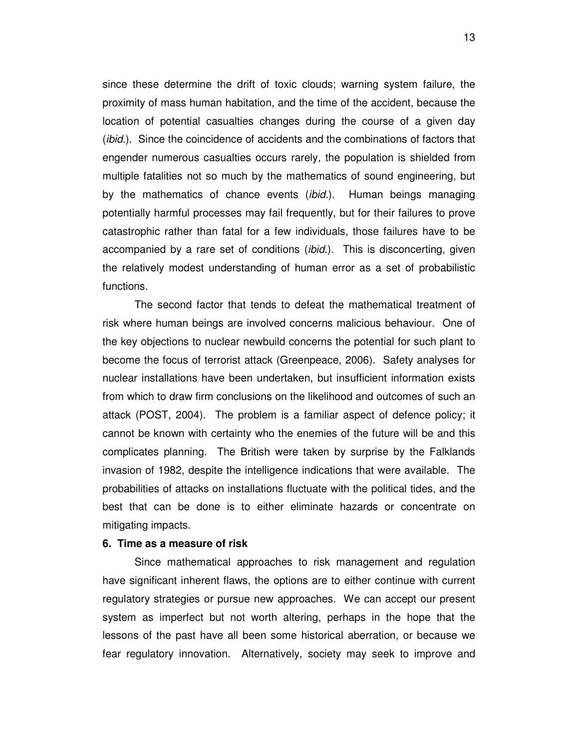since these determine the drift of toxic clouds; warning system failure, the proximity of mass human habitation, and the time of the accident, because the location of potential casualties changes during the course of a given day (*ibid.*). Since the coincidence of accidents and the combinations of factors that engender numerous casualties occurs rarely, the population is shielded from multiple fatalities not so much by the mathematics of sound engineering, but by the mathematics of chance events *(ibid.)*. Human beings managing potentially harmful processes may fail frequently, but for their failures to prove catastrophic rather than fatal for a few individuals, those failures have to be accompanied by a rare set of conditions (ibid.). This is disconcerting, given the relatively modest understanding of human error as a set of probabilistic functions.

The second factor that tends to defeat the mathematical treatment of risk where human beings are involved concerns malicious behaviour. One of the key objections to nuclear newbuild concerns the potential for such plant to become the focus of terrorist attack (Greenpeace, 2006). Safety analyses for nuclear installations have been undertaken, but insufficient information exists from which to draw firm conclusions on the likelihood and outcomes of such an attack (POST, 2004). The problem is a familiar aspect of defence policy; it cannot be known with certainty who the enemies of the future will be and this complicates planning. The British were taken by surprise by the Falklands invasion of 1982, despite the intelligence indications that were available. The probabilities of attacks on installations fluctuate with the political tides, and the best that can be done is to either eliminate hazards or concentrate on mitigating impacts.

#### **6. Time as a measure of risk**

Since mathematical approaches to risk management and regulation have significant inherent flaws, the options are to either continue with current regulatory strategies or pursue new approaches. We can accept our present system as imperfect but not worth altering, perhaps in the hope that the lessons of the past have all been some historical aberration, or because we fear regulatory innovation. Alternatively, society may seek to improve and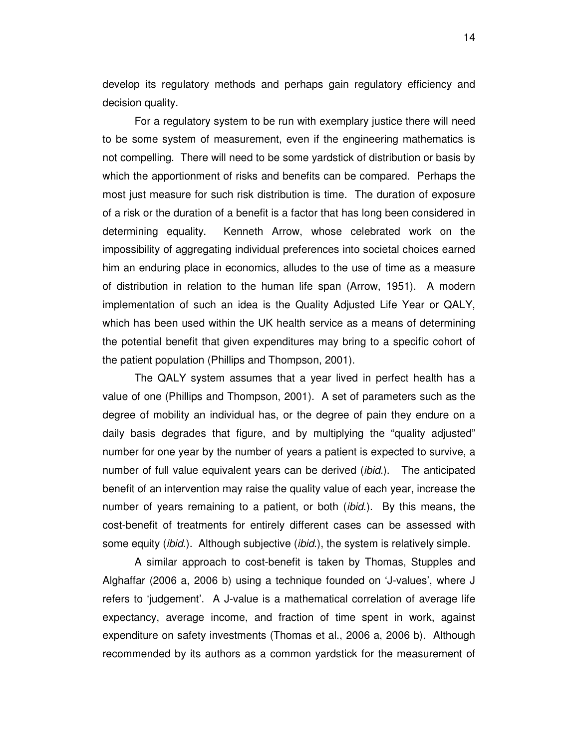develop its regulatory methods and perhaps gain regulatory efficiency and decision quality.

For a regulatory system to be run with exemplary justice there will need to be some system of measurement, even if the engineering mathematics is not compelling. There will need to be some yardstick of distribution or basis by which the apportionment of risks and benefits can be compared. Perhaps the most just measure for such risk distribution is time. The duration of exposure of a risk or the duration of a benefit is a factor that has long been considered in determining equality. Kenneth Arrow, whose celebrated work on the impossibility of aggregating individual preferences into societal choices earned him an enduring place in economics, alludes to the use of time as a measure of distribution in relation to the human life span (Arrow, 1951). A modern implementation of such an idea is the Quality Adjusted Life Year or QALY, which has been used within the UK health service as a means of determining the potential benefit that given expenditures may bring to a specific cohort of the patient population (Phillips and Thompson, 2001).

The QALY system assumes that a year lived in perfect health has a value of one (Phillips and Thompson, 2001). A set of parameters such as the degree of mobility an individual has, or the degree of pain they endure on a daily basis degrades that figure, and by multiplying the "quality adjusted" number for one year by the number of years a patient is expected to survive, a number of full value equivalent years can be derived *(ibid.)*. The anticipated benefit of an intervention may raise the quality value of each year, increase the number of years remaining to a patient, or both (ibid.). By this means, the cost-benefit of treatments for entirely different cases can be assessed with some equity *(ibid.)*. Although subjective *(ibid.)*, the system is relatively simple.

A similar approach to cost-benefit is taken by Thomas, Stupples and Alghaffar (2006 a, 2006 b) using a technique founded on 'J-values', where J refers to 'judgement'. A J-value is a mathematical correlation of average life expectancy, average income, and fraction of time spent in work, against expenditure on safety investments (Thomas et al., 2006 a, 2006 b). Although recommended by its authors as a common yardstick for the measurement of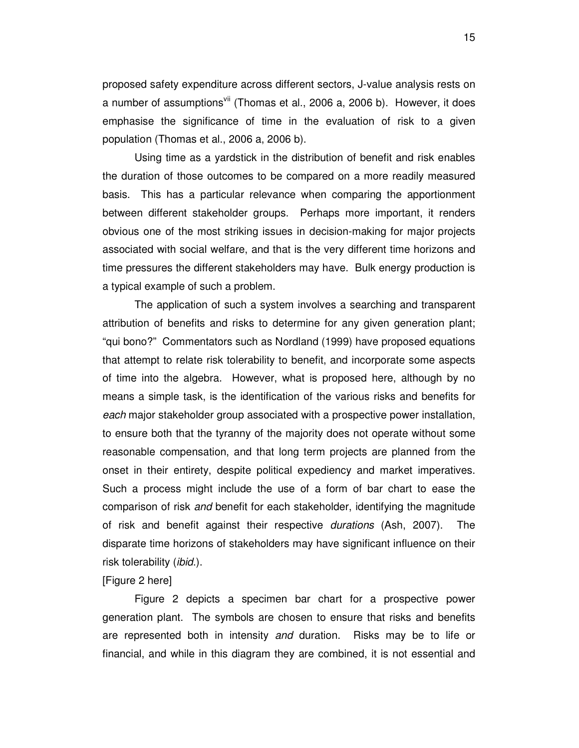proposed safety expenditure across different sectors, J-value analysis rests on a number of assumptions<sup>vii</sup> (Thomas et al., 2006 a, 2006 b). However, it does emphasise the significance of time in the evaluation of risk to a given population (Thomas et al., 2006 a, 2006 b).

Using time as a yardstick in the distribution of benefit and risk enables the duration of those outcomes to be compared on a more readily measured basis. This has a particular relevance when comparing the apportionment between different stakeholder groups. Perhaps more important, it renders obvious one of the most striking issues in decision-making for major projects associated with social welfare, and that is the very different time horizons and time pressures the different stakeholders may have. Bulk energy production is a typical example of such a problem.

The application of such a system involves a searching and transparent attribution of benefits and risks to determine for any given generation plant; "qui bono?" Commentators such as Nordland (1999) have proposed equations that attempt to relate risk tolerability to benefit, and incorporate some aspects of time into the algebra. However, what is proposed here, although by no means a simple task, is the identification of the various risks and benefits for each major stakeholder group associated with a prospective power installation, to ensure both that the tyranny of the majority does not operate without some reasonable compensation, and that long term projects are planned from the onset in their entirety, despite political expediency and market imperatives. Such a process might include the use of a form of bar chart to ease the comparison of risk and benefit for each stakeholder, identifying the magnitude of risk and benefit against their respective durations (Ash, 2007). The disparate time horizons of stakeholders may have significant influence on their risk tolerability (*ibid*.).

#### [Figure 2 here]

 Figure 2 depicts a specimen bar chart for a prospective power generation plant. The symbols are chosen to ensure that risks and benefits are represented both in intensity and duration. Risks may be to life or financial, and while in this diagram they are combined, it is not essential and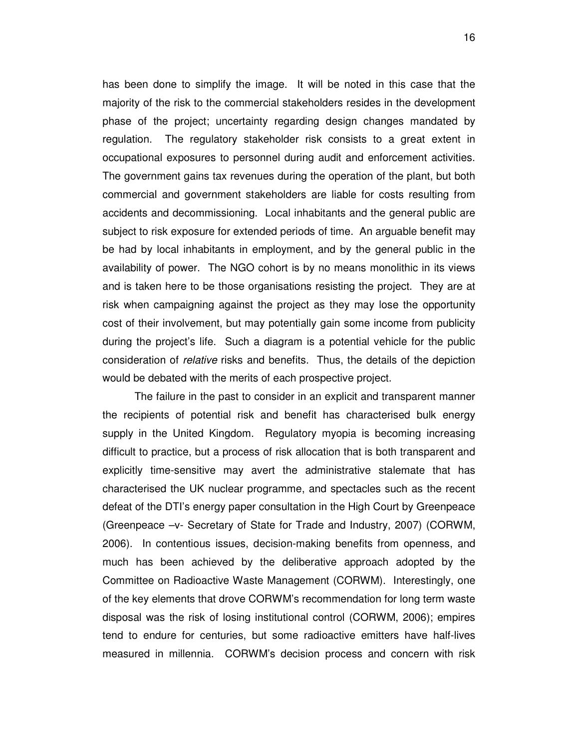has been done to simplify the image. It will be noted in this case that the majority of the risk to the commercial stakeholders resides in the development phase of the project; uncertainty regarding design changes mandated by regulation. The regulatory stakeholder risk consists to a great extent in occupational exposures to personnel during audit and enforcement activities. The government gains tax revenues during the operation of the plant, but both commercial and government stakeholders are liable for costs resulting from accidents and decommissioning. Local inhabitants and the general public are subject to risk exposure for extended periods of time. An arguable benefit may be had by local inhabitants in employment, and by the general public in the availability of power. The NGO cohort is by no means monolithic in its views and is taken here to be those organisations resisting the project. They are at risk when campaigning against the project as they may lose the opportunity cost of their involvement, but may potentially gain some income from publicity during the project's life. Such a diagram is a potential vehicle for the public consideration of relative risks and benefits. Thus, the details of the depiction would be debated with the merits of each prospective project.

The failure in the past to consider in an explicit and transparent manner the recipients of potential risk and benefit has characterised bulk energy supply in the United Kingdom. Regulatory myopia is becoming increasing difficult to practice, but a process of risk allocation that is both transparent and explicitly time-sensitive may avert the administrative stalemate that has characterised the UK nuclear programme, and spectacles such as the recent defeat of the DTI's energy paper consultation in the High Court by Greenpeace (Greenpeace –v- Secretary of State for Trade and Industry, 2007) (CORWM, 2006). In contentious issues, decision-making benefits from openness, and much has been achieved by the deliberative approach adopted by the Committee on Radioactive Waste Management (CORWM). Interestingly, one of the key elements that drove CORWM's recommendation for long term waste disposal was the risk of losing institutional control (CORWM, 2006); empires tend to endure for centuries, but some radioactive emitters have half-lives measured in millennia. CORWM's decision process and concern with risk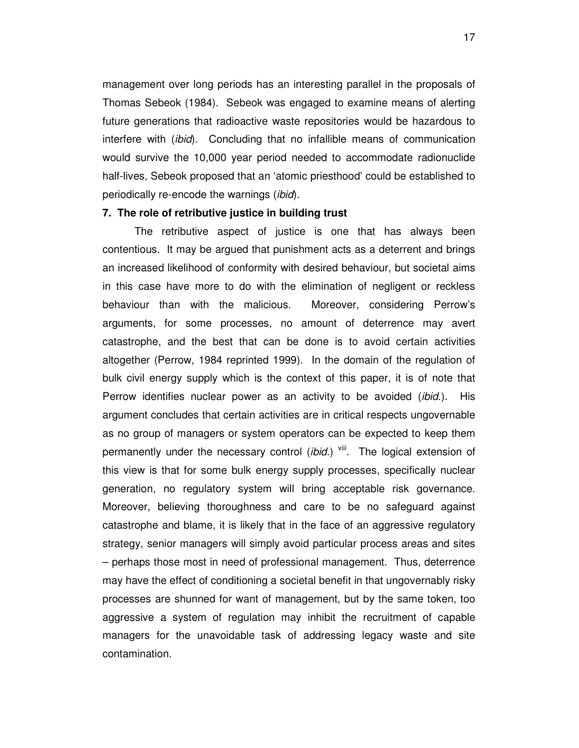management over long periods has an interesting parallel in the proposals of Thomas Sebeok (1984). Sebeok was engaged to examine means of alerting future generations that radioactive waste repositories would be hazardous to interfere with (*ibid*). Concluding that no infallible means of communication would survive the 10,000 year period needed to accommodate radionuclide half-lives, Sebeok proposed that an 'atomic priesthood' could be established to periodically re-encode the warnings (ibid).

#### **7. The role of retributive justice in building trust**

The retributive aspect of justice is one that has always been contentious. It may be argued that punishment acts as a deterrent and brings an increased likelihood of conformity with desired behaviour, but societal aims in this case have more to do with the elimination of negligent or reckless behaviour than with the malicious. Moreover, considering Perrow's arguments, for some processes, no amount of deterrence may avert catastrophe, and the best that can be done is to avoid certain activities altogether (Perrow, 1984 reprinted 1999). In the domain of the regulation of bulk civil energy supply which is the context of this paper, it is of note that Perrow identifies nuclear power as an activity to be avoided *(ibid.)*. His argument concludes that certain activities are in critical respects ungovernable as no group of managers or system operators can be expected to keep them permanently under the necessary control (ibid.)  $\frac{v}{w}$ . The logical extension of this view is that for some bulk energy supply processes, specifically nuclear generation, no regulatory system will bring acceptable risk governance. Moreover, believing thoroughness and care to be no safeguard against catastrophe and blame, it is likely that in the face of an aggressive regulatory strategy, senior managers will simply avoid particular process areas and sites – perhaps those most in need of professional management. Thus, deterrence may have the effect of conditioning a societal benefit in that ungovernably risky processes are shunned for want of management, but by the same token, too aggressive a system of regulation may inhibit the recruitment of capable managers for the unavoidable task of addressing legacy waste and site contamination.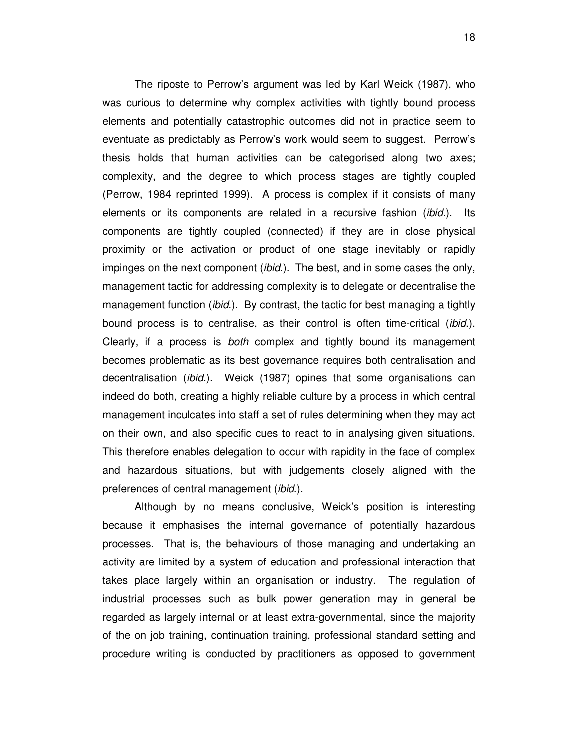The riposte to Perrow's argument was led by Karl Weick (1987), who was curious to determine why complex activities with tightly bound process elements and potentially catastrophic outcomes did not in practice seem to eventuate as predictably as Perrow's work would seem to suggest. Perrow's thesis holds that human activities can be categorised along two axes; complexity, and the degree to which process stages are tightly coupled (Perrow, 1984 reprinted 1999). A process is complex if it consists of many elements or its components are related in a recursive fashion (ibid.). Its components are tightly coupled (connected) if they are in close physical proximity or the activation or product of one stage inevitably or rapidly impinges on the next component *(ibid.)*. The best, and in some cases the only, management tactic for addressing complexity is to delegate or decentralise the management function *(ibid.)*. By contrast, the tactic for best managing a tightly bound process is to centralise, as their control is often time-critical (*ibid.*). Clearly, if a process is both complex and tightly bound its management becomes problematic as its best governance requires both centralisation and decentralisation (ibid.). Weick (1987) opines that some organisations can indeed do both, creating a highly reliable culture by a process in which central management inculcates into staff a set of rules determining when they may act on their own, and also specific cues to react to in analysing given situations. This therefore enables delegation to occur with rapidity in the face of complex and hazardous situations, but with judgements closely aligned with the preferences of central management (ibid.).

Although by no means conclusive, Weick's position is interesting because it emphasises the internal governance of potentially hazardous processes. That is, the behaviours of those managing and undertaking an activity are limited by a system of education and professional interaction that takes place largely within an organisation or industry. The regulation of industrial processes such as bulk power generation may in general be regarded as largely internal or at least extra-governmental, since the majority of the on job training, continuation training, professional standard setting and procedure writing is conducted by practitioners as opposed to government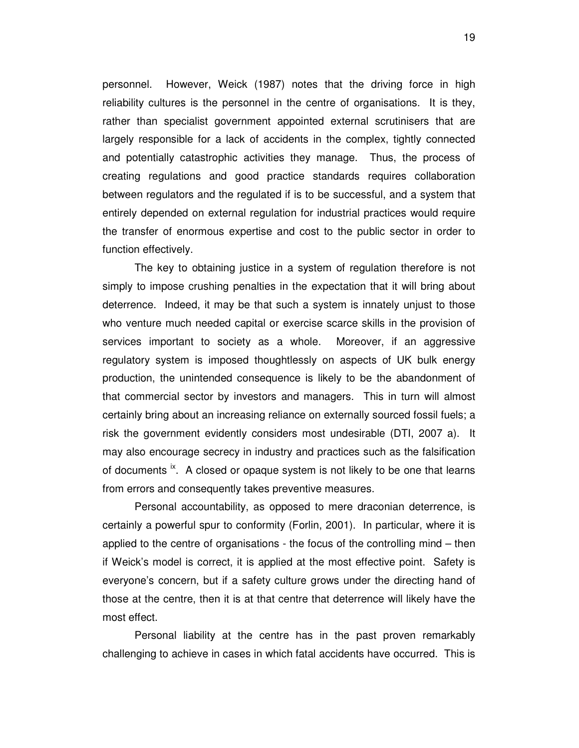personnel. However, Weick (1987) notes that the driving force in high reliability cultures is the personnel in the centre of organisations. It is they, rather than specialist government appointed external scrutinisers that are largely responsible for a lack of accidents in the complex, tightly connected and potentially catastrophic activities they manage. Thus, the process of creating regulations and good practice standards requires collaboration between regulators and the regulated if is to be successful, and a system that entirely depended on external regulation for industrial practices would require the transfer of enormous expertise and cost to the public sector in order to function effectively.

The key to obtaining justice in a system of regulation therefore is not simply to impose crushing penalties in the expectation that it will bring about deterrence. Indeed, it may be that such a system is innately unjust to those who venture much needed capital or exercise scarce skills in the provision of services important to society as a whole. Moreover, if an aggressive regulatory system is imposed thoughtlessly on aspects of UK bulk energy production, the unintended consequence is likely to be the abandonment of that commercial sector by investors and managers. This in turn will almost certainly bring about an increasing reliance on externally sourced fossil fuels; a risk the government evidently considers most undesirable (DTI, 2007 a). It may also encourage secrecy in industry and practices such as the falsification of documents  $\dot{x}$ . A closed or opaque system is not likely to be one that learns from errors and consequently takes preventive measures.

Personal accountability, as opposed to mere draconian deterrence, is certainly a powerful spur to conformity (Forlin, 2001). In particular, where it is applied to the centre of organisations - the focus of the controlling mind – then if Weick's model is correct, it is applied at the most effective point. Safety is everyone's concern, but if a safety culture grows under the directing hand of those at the centre, then it is at that centre that deterrence will likely have the most effect.

Personal liability at the centre has in the past proven remarkably challenging to achieve in cases in which fatal accidents have occurred. This is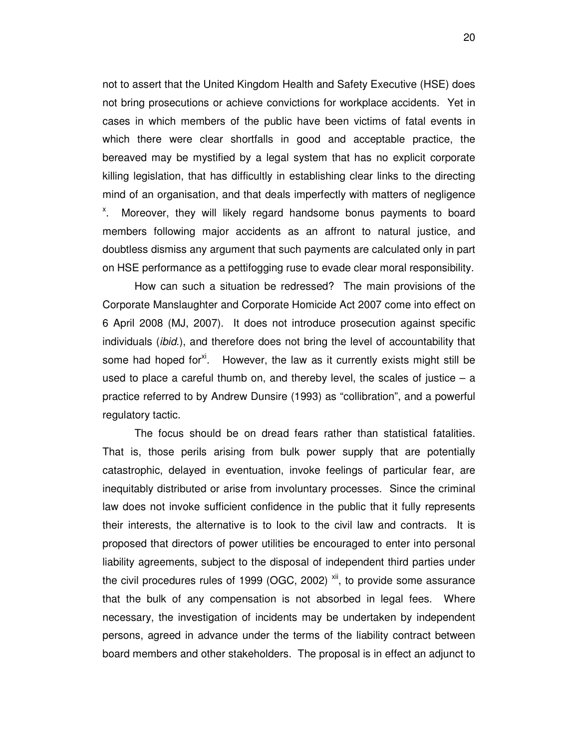not to assert that the United Kingdom Health and Safety Executive (HSE) does not bring prosecutions or achieve convictions for workplace accidents. Yet in cases in which members of the public have been victims of fatal events in which there were clear shortfalls in good and acceptable practice, the bereaved may be mystified by a legal system that has no explicit corporate killing legislation, that has difficultly in establishing clear links to the directing mind of an organisation, and that deals imperfectly with matters of negligence <sup>x</sup>. Moreover, they will likely regard handsome bonus payments to board members following major accidents as an affront to natural justice, and doubtless dismiss any argument that such payments are calculated only in part on HSE performance as a pettifogging ruse to evade clear moral responsibility.

How can such a situation be redressed? The main provisions of the Corporate Manslaughter and Corporate Homicide Act 2007 come into effect on 6 April 2008 (MJ, 2007). It does not introduce prosecution against specific individuals (ibid.), and therefore does not bring the level of accountability that some had hoped for<sup>xi</sup>. However, the law as it currently exists might still be used to place a careful thumb on, and thereby level, the scales of justice  $-$  a practice referred to by Andrew Dunsire (1993) as "collibration", and a powerful regulatory tactic.

The focus should be on dread fears rather than statistical fatalities. That is, those perils arising from bulk power supply that are potentially catastrophic, delayed in eventuation, invoke feelings of particular fear, are inequitably distributed or arise from involuntary processes. Since the criminal law does not invoke sufficient confidence in the public that it fully represents their interests, the alternative is to look to the civil law and contracts. It is proposed that directors of power utilities be encouraged to enter into personal liability agreements, subject to the disposal of independent third parties under the civil procedures rules of 1999 (OGC, 2002)  $xii$ , to provide some assurance that the bulk of any compensation is not absorbed in legal fees. Where necessary, the investigation of incidents may be undertaken by independent persons, agreed in advance under the terms of the liability contract between board members and other stakeholders. The proposal is in effect an adjunct to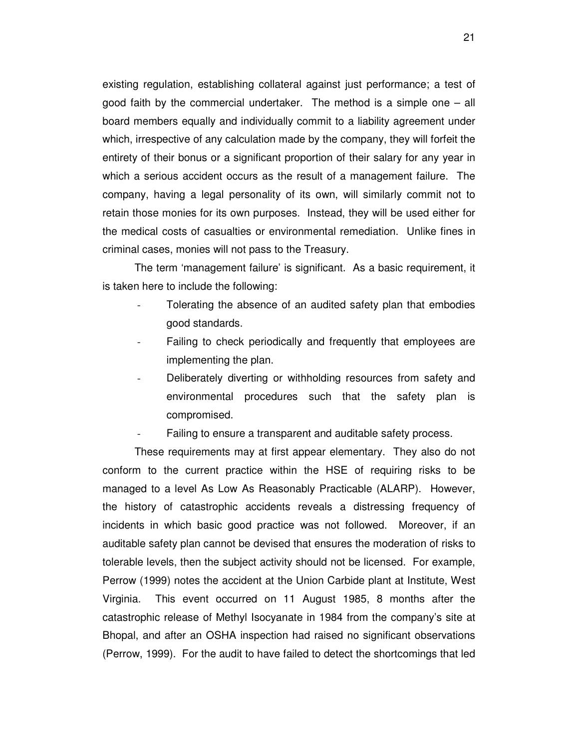existing regulation, establishing collateral against just performance; a test of good faith by the commercial undertaker. The method is a simple one – all board members equally and individually commit to a liability agreement under which, irrespective of any calculation made by the company, they will forfeit the entirety of their bonus or a significant proportion of their salary for any year in which a serious accident occurs as the result of a management failure. The company, having a legal personality of its own, will similarly commit not to retain those monies for its own purposes. Instead, they will be used either for the medical costs of casualties or environmental remediation. Unlike fines in criminal cases, monies will not pass to the Treasury.

The term 'management failure' is significant. As a basic requirement, it is taken here to include the following:

- Tolerating the absence of an audited safety plan that embodies good standards.
- Failing to check periodically and frequently that employees are implementing the plan.
- Deliberately diverting or withholding resources from safety and environmental procedures such that the safety plan is compromised.
- Failing to ensure a transparent and auditable safety process.

These requirements may at first appear elementary. They also do not conform to the current practice within the HSE of requiring risks to be managed to a level As Low As Reasonably Practicable (ALARP). However, the history of catastrophic accidents reveals a distressing frequency of incidents in which basic good practice was not followed. Moreover, if an auditable safety plan cannot be devised that ensures the moderation of risks to tolerable levels, then the subject activity should not be licensed. For example, Perrow (1999) notes the accident at the Union Carbide plant at Institute, West Virginia. This event occurred on 11 August 1985, 8 months after the catastrophic release of Methyl Isocyanate in 1984 from the company's site at Bhopal, and after an OSHA inspection had raised no significant observations (Perrow, 1999). For the audit to have failed to detect the shortcomings that led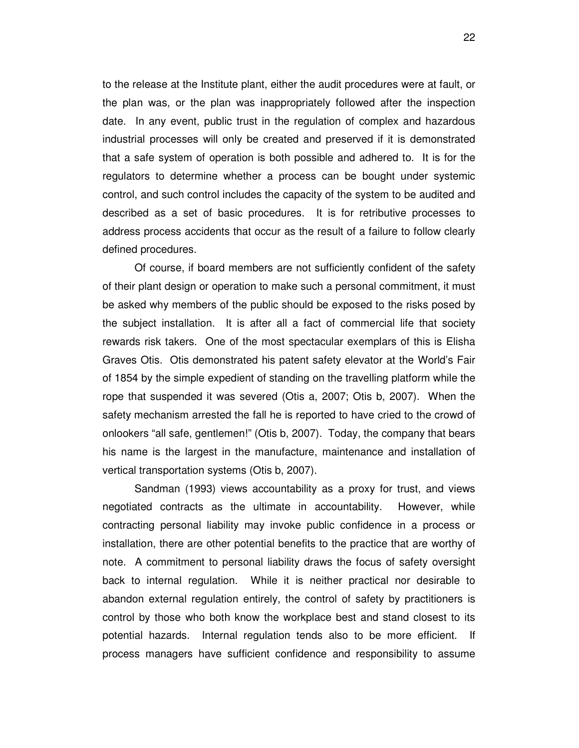to the release at the Institute plant, either the audit procedures were at fault, or the plan was, or the plan was inappropriately followed after the inspection date. In any event, public trust in the regulation of complex and hazardous industrial processes will only be created and preserved if it is demonstrated that a safe system of operation is both possible and adhered to. It is for the regulators to determine whether a process can be bought under systemic control, and such control includes the capacity of the system to be audited and described as a set of basic procedures. It is for retributive processes to address process accidents that occur as the result of a failure to follow clearly defined procedures.

Of course, if board members are not sufficiently confident of the safety of their plant design or operation to make such a personal commitment, it must be asked why members of the public should be exposed to the risks posed by the subject installation. It is after all a fact of commercial life that society rewards risk takers. One of the most spectacular exemplars of this is Elisha Graves Otis. Otis demonstrated his patent safety elevator at the World's Fair of 1854 by the simple expedient of standing on the travelling platform while the rope that suspended it was severed (Otis a, 2007; Otis b, 2007). When the safety mechanism arrested the fall he is reported to have cried to the crowd of onlookers "all safe, gentlemen!" (Otis b, 2007). Today, the company that bears his name is the largest in the manufacture, maintenance and installation of vertical transportation systems (Otis b, 2007).

Sandman (1993) views accountability as a proxy for trust, and views negotiated contracts as the ultimate in accountability. However, while contracting personal liability may invoke public confidence in a process or installation, there are other potential benefits to the practice that are worthy of note. A commitment to personal liability draws the focus of safety oversight back to internal regulation. While it is neither practical nor desirable to abandon external regulation entirely, the control of safety by practitioners is control by those who both know the workplace best and stand closest to its potential hazards. Internal regulation tends also to be more efficient. If process managers have sufficient confidence and responsibility to assume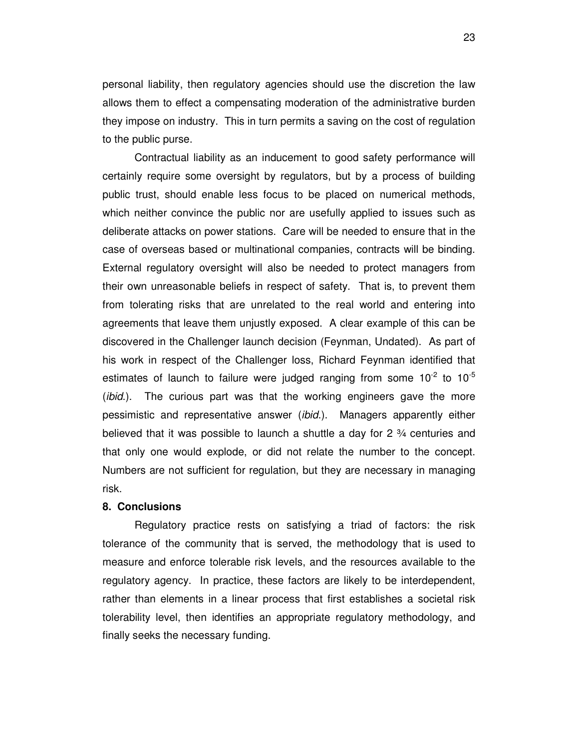personal liability, then regulatory agencies should use the discretion the law allows them to effect a compensating moderation of the administrative burden they impose on industry. This in turn permits a saving on the cost of regulation to the public purse.

Contractual liability as an inducement to good safety performance will certainly require some oversight by regulators, but by a process of building public trust, should enable less focus to be placed on numerical methods, which neither convince the public nor are usefully applied to issues such as deliberate attacks on power stations. Care will be needed to ensure that in the case of overseas based or multinational companies, contracts will be binding. External regulatory oversight will also be needed to protect managers from their own unreasonable beliefs in respect of safety. That is, to prevent them from tolerating risks that are unrelated to the real world and entering into agreements that leave them unjustly exposed. A clear example of this can be discovered in the Challenger launch decision (Feynman, Undated). As part of his work in respect of the Challenger loss, Richard Feynman identified that estimates of launch to failure were judged ranging from some  $10^{-2}$  to  $10^{-5}$ (*ibid.*). The curious part was that the working engineers gave the more pessimistic and representative answer (ibid.). Managers apparently either believed that it was possible to launch a shuttle a day for  $2\frac{3}{4}$  centuries and that only one would explode, or did not relate the number to the concept. Numbers are not sufficient for regulation, but they are necessary in managing risk.

#### **8. Conclusions**

 Regulatory practice rests on satisfying a triad of factors: the risk tolerance of the community that is served, the methodology that is used to measure and enforce tolerable risk levels, and the resources available to the regulatory agency. In practice, these factors are likely to be interdependent, rather than elements in a linear process that first establishes a societal risk tolerability level, then identifies an appropriate regulatory methodology, and finally seeks the necessary funding.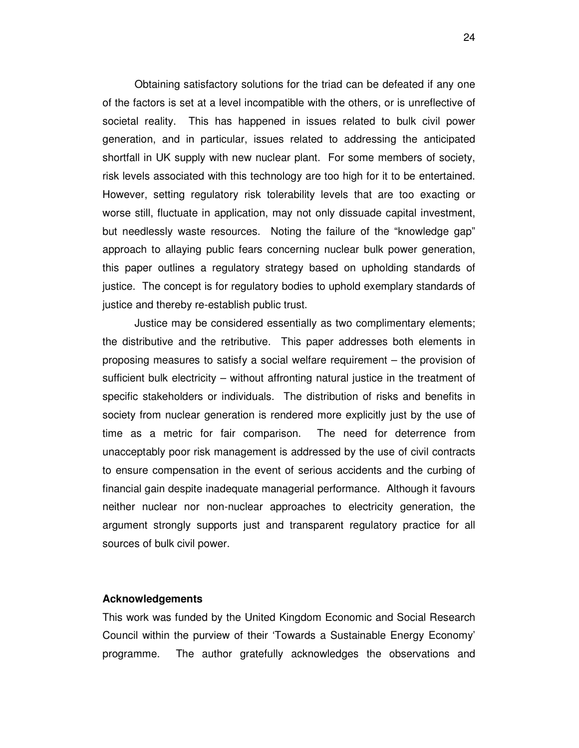Obtaining satisfactory solutions for the triad can be defeated if any one of the factors is set at a level incompatible with the others, or is unreflective of societal reality. This has happened in issues related to bulk civil power generation, and in particular, issues related to addressing the anticipated shortfall in UK supply with new nuclear plant. For some members of society, risk levels associated with this technology are too high for it to be entertained. However, setting regulatory risk tolerability levels that are too exacting or worse still, fluctuate in application, may not only dissuade capital investment, but needlessly waste resources. Noting the failure of the "knowledge gap" approach to allaying public fears concerning nuclear bulk power generation, this paper outlines a regulatory strategy based on upholding standards of justice. The concept is for regulatory bodies to uphold exemplary standards of justice and thereby re-establish public trust.

Justice may be considered essentially as two complimentary elements; the distributive and the retributive. This paper addresses both elements in proposing measures to satisfy a social welfare requirement – the provision of sufficient bulk electricity – without affronting natural justice in the treatment of specific stakeholders or individuals. The distribution of risks and benefits in society from nuclear generation is rendered more explicitly just by the use of time as a metric for fair comparison. The need for deterrence from unacceptably poor risk management is addressed by the use of civil contracts to ensure compensation in the event of serious accidents and the curbing of financial gain despite inadequate managerial performance. Although it favours neither nuclear nor non-nuclear approaches to electricity generation, the argument strongly supports just and transparent regulatory practice for all sources of bulk civil power.

#### **Acknowledgements**

This work was funded by the United Kingdom Economic and Social Research Council within the purview of their 'Towards a Sustainable Energy Economy' programme. The author gratefully acknowledges the observations and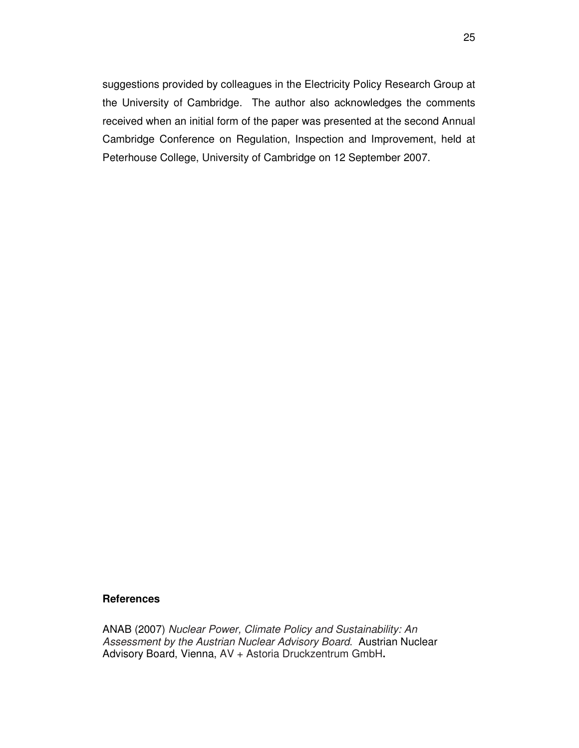suggestions provided by colleagues in the Electricity Policy Research Group at the University of Cambridge. The author also acknowledges the comments received when an initial form of the paper was presented at the second Annual Cambridge Conference on Regulation, Inspection and Improvement, held at Peterhouse College, University of Cambridge on 12 September 2007.

#### **References**

ANAB (2007) Nuclear Power, Climate Policy and Sustainability: An Assessment by the Austrian Nuclear Advisory Board. Austrian Nuclear Advisory Board, Vienna, AV + Astoria Druckzentrum GmbH**.**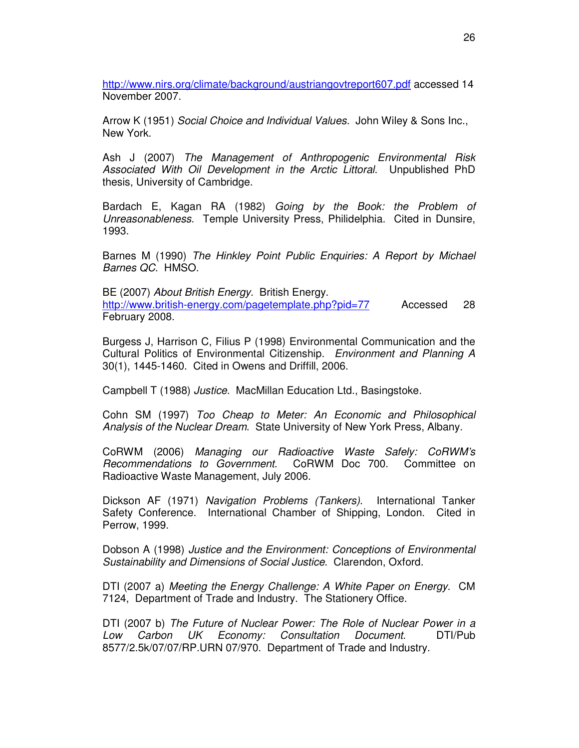http://www.nirs.org/climate/background/austriangovtreport607.pdf accessed 14 November 2007.

Arrow K (1951) Social Choice and Individual Values. John Wiley & Sons Inc., New York.

Ash J (2007) The Management of Anthropogenic Environmental Risk Associated With Oil Development in the Arctic Littoral. Unpublished PhD thesis, University of Cambridge.

Bardach E, Kagan RA (1982) Going by the Book: the Problem of Unreasonableness. Temple University Press, Philidelphia. Cited in Dunsire, 1993.

Barnes M (1990) The Hinkley Point Public Enquiries: A Report by Michael Barnes QC. HMSO.

BE (2007) About British Energy. British Energy. http://www.british-energy.com/pagetemplate.php?pid=77 Accessed 28 February 2008.

Burgess J, Harrison C, Filius P (1998) Environmental Communication and the Cultural Politics of Environmental Citizenship. Environment and Planning A 30(1), 1445-1460. Cited in Owens and Driffill, 2006.

Campbell T (1988) Justice. MacMillan Education Ltd., Basingstoke.

Cohn SM (1997) Too Cheap to Meter: An Economic and Philosophical Analysis of the Nuclear Dream. State University of New York Press, Albany.

CoRWM (2006) Managing our Radioactive Waste Safely: CoRWM's Recommendations to Government. CoRWM Doc 700. Committee on Radioactive Waste Management, July 2006.

Dickson AF (1971) Navigation Problems (Tankers). International Tanker Safety Conference. International Chamber of Shipping, London. Cited in Perrow, 1999.

Dobson A (1998) Justice and the Environment: Conceptions of Environmental Sustainability and Dimensions of Social Justice. Clarendon, Oxford.

DTI (2007 a) Meeting the Energy Challenge: A White Paper on Energy. CM 7124, Department of Trade and Industry. The Stationery Office.

DTI (2007 b) The Future of Nuclear Power: The Role of Nuclear Power in a Low Carbon UK Economy: Consultation Document. DTI/Pub 8577/2.5k/07/07/RP.URN 07/970. Department of Trade and Industry.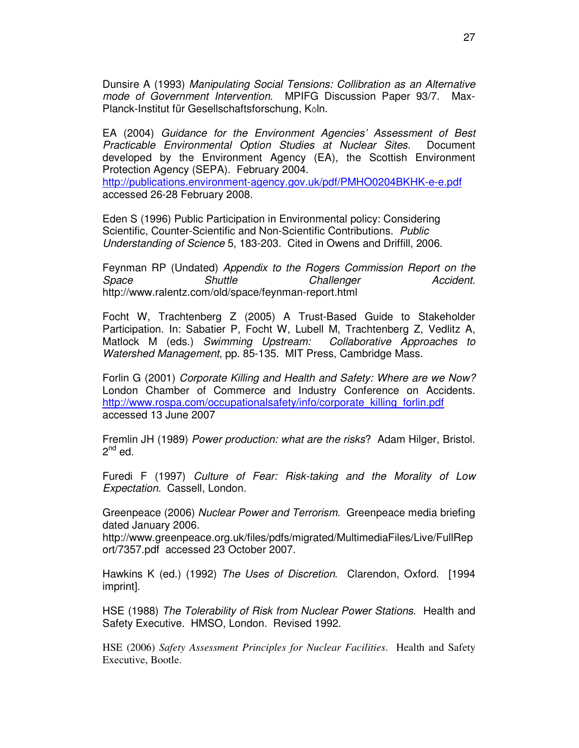Dunsire A (1993) Manipulating Social Tensions: Collibration as an Alternative mode of Government Intervention. MPIFG Discussion Paper 93/7. Max-Planck-Institut für Gesellschaftsforschung, Köln.

EA (2004) Guidance for the Environment Agencies' Assessment of Best Practicable Environmental Option Studies at Nuclear Sites. Document developed by the Environment Agency (EA), the Scottish Environment Protection Agency (SEPA). February 2004.

http://publications.environment-agency.gov.uk/pdf/PMHO0204BKHK-e-e.pdf accessed 26-28 February 2008.

Eden S (1996) Public Participation in Environmental policy: Considering Scientific, Counter-Scientific and Non-Scientific Contributions. Public Understanding of Science 5, 183-203. Cited in Owens and Driffill, 2006.

Feynman RP (Undated) Appendix to the Rogers Commission Report on the Space Shuttle Challenger Accident. http://www.ralentz.com/old/space/feynman-report.html

Focht W, Trachtenberg Z (2005) A Trust-Based Guide to Stakeholder Participation. In: Sabatier P, Focht W, Lubell M, Trachtenberg Z, Vedlitz A, Matlock M (eds.) Swimming Upstream: Collaborative Approaches to Watershed Management, pp. 85-135. MIT Press, Cambridge Mass.

Forlin G (2001) Corporate Killing and Health and Safety: Where are we Now? London Chamber of Commerce and Industry Conference on Accidents. http://www.rospa.com/occupationalsafety/info/corporate\_killing\_forlin.pdf accessed 13 June 2007

Fremlin JH (1989) Power production: what are the risks? Adam Hilger, Bristol.  $2^{nd}$  ed.

Furedi F (1997) Culture of Fear: Risk-taking and the Morality of Low Expectation. Cassell, London.

Greenpeace (2006) Nuclear Power and Terrorism. Greenpeace media briefing dated January 2006.

http://www.greenpeace.org.uk/files/pdfs/migrated/MultimediaFiles/Live/FullRep ort/7357.pdf accessed 23 October 2007.

Hawkins K (ed.) (1992) The Uses of Discretion. Clarendon, Oxford. [1994 imprint].

HSE (1988) The Tolerability of Risk from Nuclear Power Stations. Health and Safety Executive. HMSO, London. Revised 1992.

HSE (2006) *Safety Assessment Principles for Nuclear Facilities*. Health and Safety Executive, Bootle.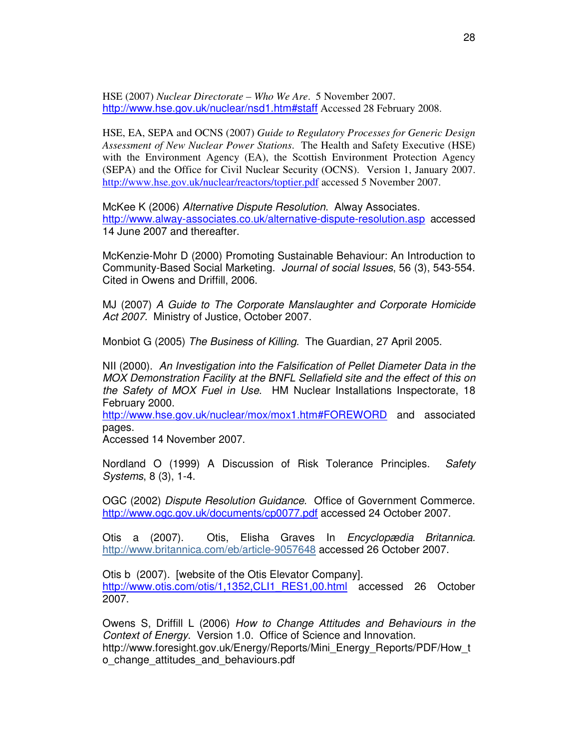HSE (2007) *Nuclear Directorate – Who We Are*. 5 November 2007. http://www.hse.gov.uk/nuclear/nsd1.htm#staff Accessed 28 February 2008.

HSE, EA, SEPA and OCNS (2007) *Guide to Regulatory Processes for Generic Design Assessment of New Nuclear Power Stations*. The Health and Safety Executive (HSE) with the Environment Agency (EA), the Scottish Environment Protection Agency (SEPA) and the Office for Civil Nuclear Security (OCNS). Version 1, January 2007. http://www.hse.gov.uk/nuclear/reactors/toptier.pdf accessed 5 November 2007.

McKee K (2006) Alternative Dispute Resolution. Alway Associates. http://www.alway-associates.co.uk/alternative-dispute-resolution.asp accessed 14 June 2007 and thereafter.

McKenzie-Mohr D (2000) Promoting Sustainable Behaviour: An Introduction to Community-Based Social Marketing. Journal of social Issues, 56 (3), 543-554. Cited in Owens and Driffill, 2006.

MJ (2007) A Guide to The Corporate Manslaughter and Corporate Homicide Act 2007. Ministry of Justice, October 2007.

Monbiot G (2005) The Business of Killing. The Guardian, 27 April 2005.

NII (2000). An Investigation into the Falsification of Pellet Diameter Data in the MOX Demonstration Facility at the BNFL Sellafield site and the effect of this on the Safety of MOX Fuel in Use. HM Nuclear Installations Inspectorate, 18 February 2000.

http://www.hse.gov.uk/nuclear/mox/mox1.htm#FOREWORD and associated pages.

Accessed 14 November 2007.

Nordland O (1999) A Discussion of Risk Tolerance Principles. Safety Systems, 8 (3), 1-4.

OGC (2002) Dispute Resolution Guidance. Office of Government Commerce. http://www.ogc.gov.uk/documents/cp0077.pdf accessed 24 October 2007.

Otis a (2007). Otis, Elisha Graves In Encyclopædia Britannica. http://www.britannica.com/eb/article-9057648 accessed 26 October 2007.

Otis b (2007). [website of the Otis Elevator Company]. http://www.otis.com/otis/1,1352,CLI1\_RES1,00.html accessed 26 October 2007.

Owens S, Driffill L (2006) How to Change Attitudes and Behaviours in the Context of Energy. Version 1.0. Office of Science and Innovation. http://www.foresight.gov.uk/Energy/Reports/Mini\_Energy\_Reports/PDF/How\_t o\_change\_attitudes\_and\_behaviours.pdf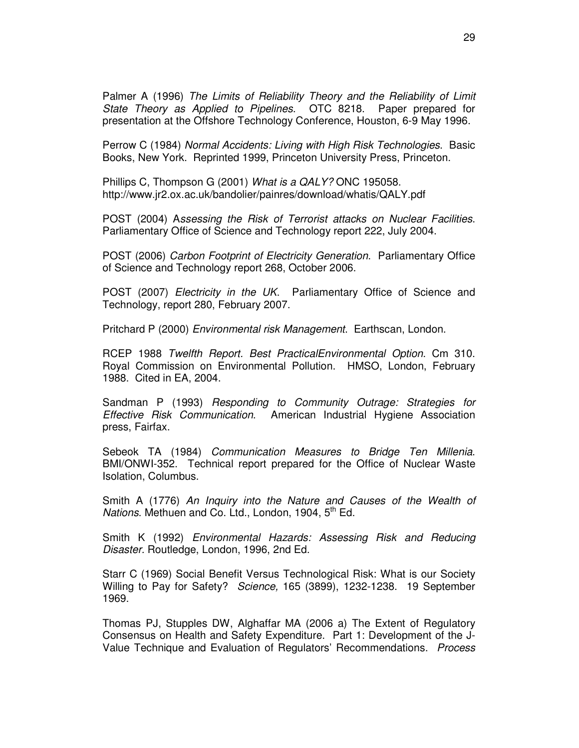Palmer A (1996) The Limits of Reliability Theory and the Reliability of Limit State Theory as Applied to Pipelines. OTC 8218. Paper prepared for presentation at the Offshore Technology Conference, Houston, 6-9 May 1996.

Perrow C (1984) Normal Accidents: Living with High Risk Technologies. Basic Books, New York. Reprinted 1999, Princeton University Press, Princeton.

Phillips C, Thompson G (2001) What is a QALY? ONC 195058. http://www.jr2.ox.ac.uk/bandolier/painres/download/whatis/QALY.pdf

POST (2004) Assessing the Risk of Terrorist attacks on Nuclear Facilities. Parliamentary Office of Science and Technology report 222, July 2004.

POST (2006) Carbon Footprint of Electricity Generation. Parliamentary Office of Science and Technology report 268, October 2006.

POST (2007) Electricity in the UK. Parliamentary Office of Science and Technology, report 280, February 2007.

Pritchard P (2000) Environmental risk Management. Earthscan, London.

RCEP 1988 Twelfth Report. Best PracticalEnvironmental Option. Cm 310. Royal Commission on Environmental Pollution. HMSO, London, February 1988. Cited in EA, 2004.

Sandman P (1993) Responding to Community Outrage: Strategies for Effective Risk Communication. American Industrial Hygiene Association press, Fairfax.

Sebeok TA (1984) Communication Measures to Bridge Ten Millenia. BMI/ONWI-352. Technical report prepared for the Office of Nuclear Waste Isolation, Columbus.

Smith A (1776) An Inquiry into the Nature and Causes of the Wealth of Nations. Methuen and Co. Ltd., London, 1904,  $5<sup>th</sup>$  Ed.

Smith K (1992) Environmental Hazards: Assessing Risk and Reducing Disaster. Routledge, London, 1996, 2nd Ed.

Starr C (1969) Social Benefit Versus Technological Risk: What is our Society Willing to Pay for Safety? Science, 165 (3899), 1232-1238. 19 September 1969.

Thomas PJ, Stupples DW, Alghaffar MA (2006 a) The Extent of Regulatory Consensus on Health and Safety Expenditure. Part 1: Development of the J-Value Technique and Evaluation of Regulators' Recommendations. Process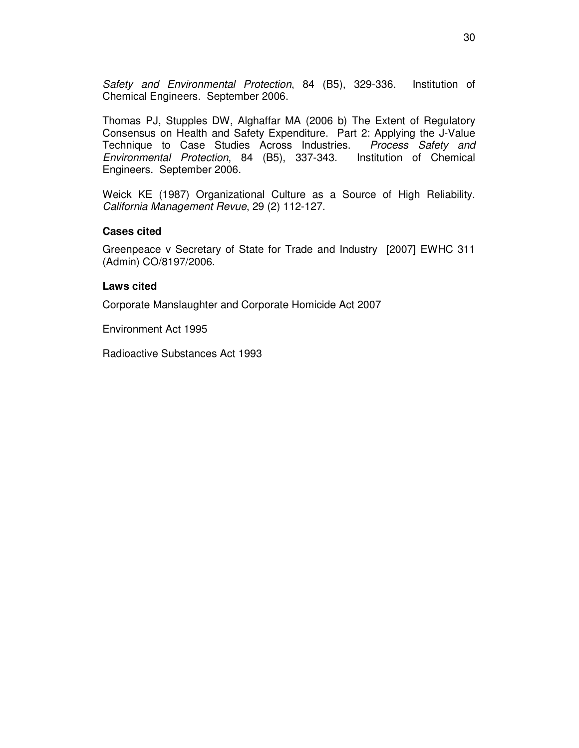Safety and Environmental Protection, 84 (B5), 329-336. Institution of Chemical Engineers. September 2006.

Thomas PJ, Stupples DW, Alghaffar MA (2006 b) The Extent of Regulatory Consensus on Health and Safety Expenditure. Part 2: Applying the J-Value Technique to Case Studies Across Industries. Process Safety and Environmental Protection, 84 (B5), 337-343. Institution of Chemical Engineers. September 2006.

Weick KE (1987) Organizational Culture as a Source of High Reliability. California Management Revue, 29 (2) 112-127.

#### **Cases cited**

Greenpeace v Secretary of State for Trade and Industry [2007] EWHC 311 (Admin) CO/8197/2006.

#### **Laws cited**

Corporate Manslaughter and Corporate Homicide Act 2007

Environment Act 1995

Radioactive Substances Act 1993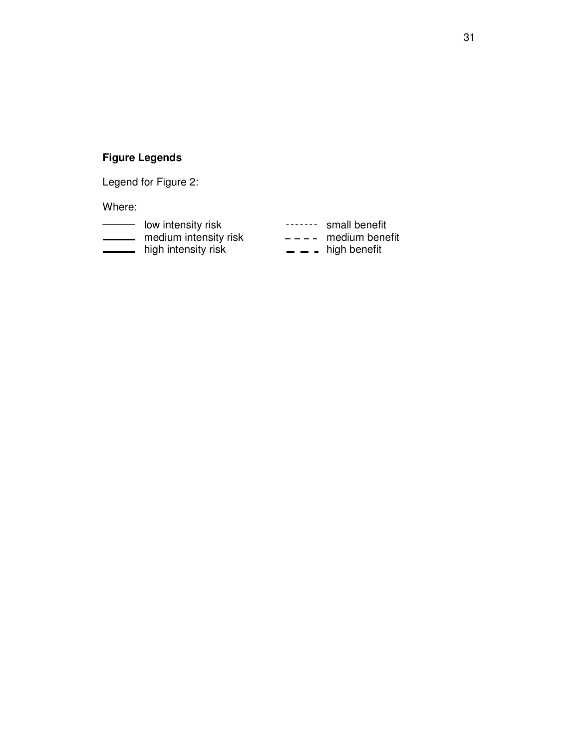## **Figure Legends**

Legend for Figure 2:

Where:

- low intensity risk statement of the small benefit<br>
low intensity risk statement and immedium benefit medium intensity risk and the medium benefit high intensity risk  $\qquad \qquad$  - high benefit
	-
	-
	-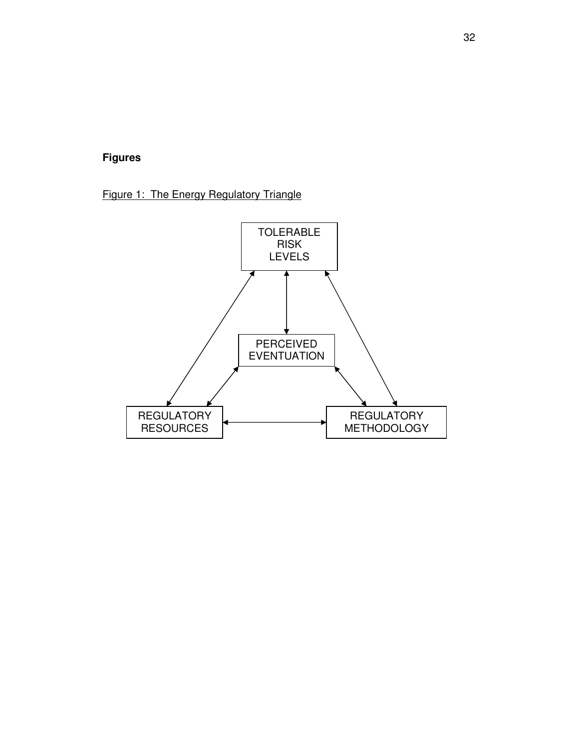## **Figures**

Figure 1: The Energy Regulatory Triangle

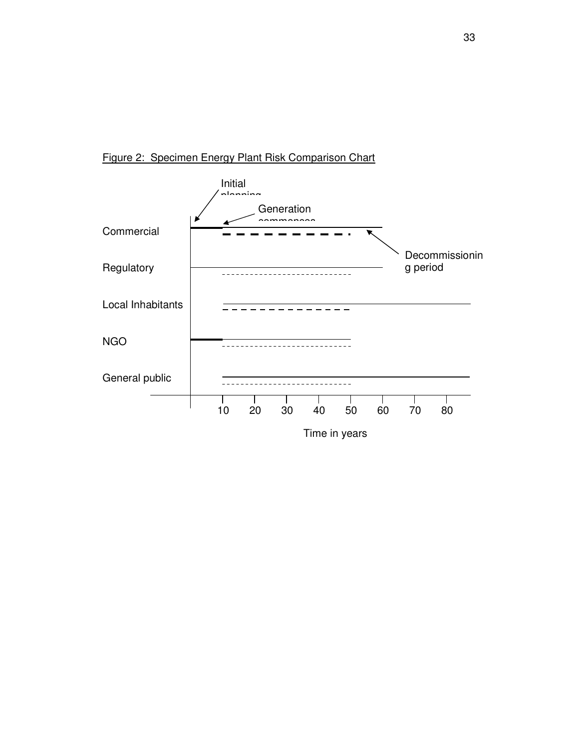

### Figure 2: Specimen Energy Plant Risk Comparison Chart